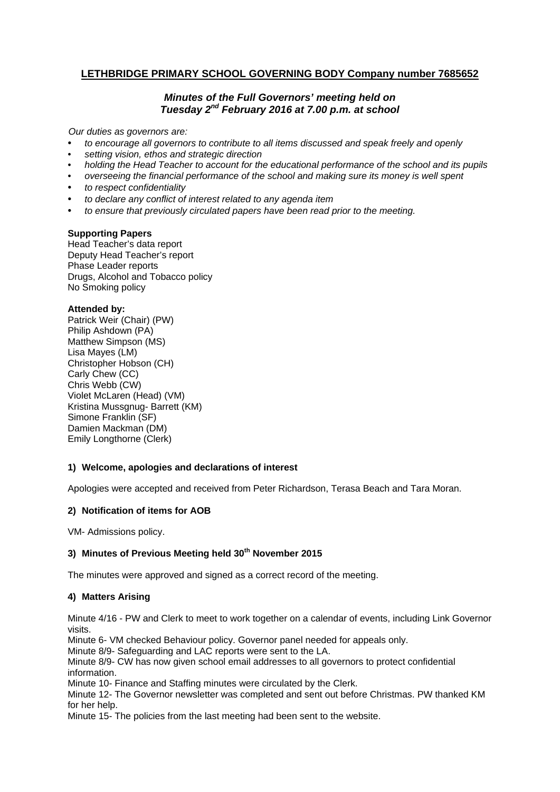# **LETHBRIDGE PRIMARY SCHOOL GOVERNING BODY Company number 7685652**

# *Minutes of the Full Governors' meeting held on Tuesday 2nd February 2016 at 7.00 p.m. at school*

*Our duties as governors are:* 

- *to encourage all governors to contribute to all items discussed and speak freely and openly*
- *setting vision, ethos and strategic direction*
- *holding the Head Teacher to account for the educational performance of the school and its pupils*
- *overseeing the financial performance of the school and making sure its money is well spent*
- *to respect confidentiality*
- *to declare any conflict of interest related to any agenda item*
- *to ensure that previously circulated papers have been read prior to the meeting.*

#### **Supporting Papers**

Head Teacher's data report Deputy Head Teacher's report Phase Leader reports Drugs, Alcohol and Tobacco policy No Smoking policy

#### **Attended by:**

Patrick Weir (Chair) (PW) Philip Ashdown (PA) Matthew Simpson (MS) Lisa Mayes (LM) Christopher Hobson (CH) Carly Chew (CC) Chris Webb (CW) Violet McLaren (Head) (VM) Kristina Mussgnug- Barrett (KM) Simone Franklin (SF) Damien Mackman (DM) Emily Longthorne (Clerk)

### **1) Welcome, apologies and declarations of interest**

Apologies were accepted and received from Peter Richardson, Terasa Beach and Tara Moran.

### **2) Notification of items for AOB**

VM- Admissions policy.

### **3) Minutes of Previous Meeting held 30th November 2015**

The minutes were approved and signed as a correct record of the meeting.

### **4) Matters Arising**

Minute 4/16 - PW and Clerk to meet to work together on a calendar of events, including Link Governor visits.

Minute 6- VM checked Behaviour policy. Governor panel needed for appeals only.

Minute 8/9- Safeguarding and LAC reports were sent to the LA.

Minute 8/9- CW has now given school email addresses to all governors to protect confidential information.

Minute 10- Finance and Staffing minutes were circulated by the Clerk.

Minute 12- The Governor newsletter was completed and sent out before Christmas. PW thanked KM for her help.

Minute 15- The policies from the last meeting had been sent to the website.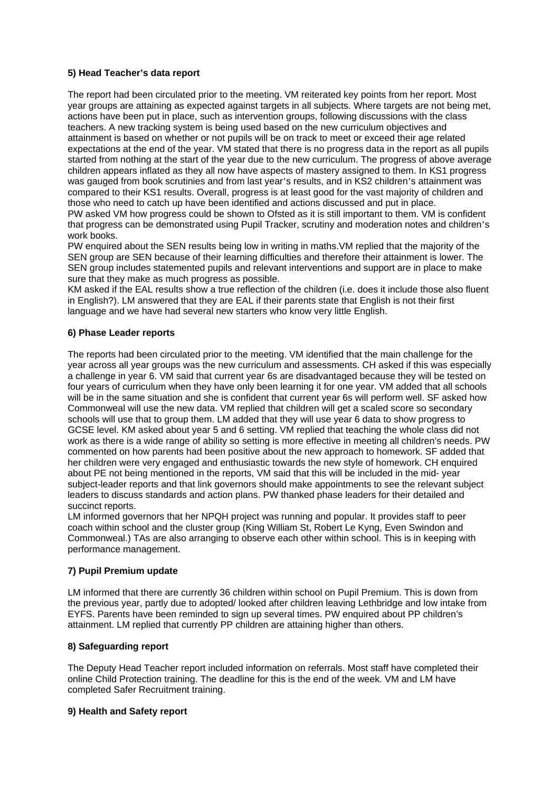# **5) Head Teacher's data report**

The report had been circulated prior to the meeting. VM reiterated key points from her report. Most year groups are attaining as expected against targets in all subjects. Where targets are not being met, actions have been put in place, such as intervention groups, following discussions with the class teachers. A new tracking system is being used based on the new curriculum objectives and attainment is based on whether or not pupils will be on track to meet or exceed their age related expectations at the end of the year. VM stated that there is no progress data in the report as all pupils started from nothing at the start of the year due to the new curriculum. The progress of above average children appears inflated as they all now have aspects of mastery assigned to them. In KS1 progress was gauged from book scrutinies and from last year's results, and in KS2 children's attainment was compared to their KS1 results. Overall, progress is at least good for the vast majority of children and those who need to catch up have been identified and actions discussed and put in place. PW asked VM how progress could be shown to Ofsted as it is still important to them. VM is confident that progress can be demonstrated using Pupil Tracker, scrutiny and moderation notes and children's work books.

PW enquired about the SEN results being low in writing in maths.VM replied that the majority of the SEN group are SEN because of their learning difficulties and therefore their attainment is lower. The SEN group includes statemented pupils and relevant interventions and support are in place to make sure that they make as much progress as possible.

KM asked if the EAL results show a true reflection of the children (i.e. does it include those also fluent in English?). LM answered that they are EAL if their parents state that English is not their first language and we have had several new starters who know very little English.

### **6) Phase Leader reports**

The reports had been circulated prior to the meeting. VM identified that the main challenge for the year across all year groups was the new curriculum and assessments. CH asked if this was especially a challenge in year 6. VM said that current year 6s are disadvantaged because they will be tested on four years of curriculum when they have only been learning it for one year. VM added that all schools will be in the same situation and she is confident that current year 6s will perform well. SF asked how Commonweal will use the new data. VM replied that children will get a scaled score so secondary schools will use that to group them. LM added that they will use year 6 data to show progress to GCSE level. KM asked about year 5 and 6 setting. VM replied that teaching the whole class did not work as there is a wide range of ability so setting is more effective in meeting all children's needs. PW commented on how parents had been positive about the new approach to homework. SF added that her children were very engaged and enthusiastic towards the new style of homework. CH enquired about PE not being mentioned in the reports, VM said that this will be included in the mid- year subject-leader reports and that link governors should make appointments to see the relevant subject leaders to discuss standards and action plans. PW thanked phase leaders for their detailed and succinct reports.

LM informed governors that her NPQH project was running and popular. It provides staff to peer coach within school and the cluster group (King William St, Robert Le Kyng, Even Swindon and Commonweal.) TAs are also arranging to observe each other within school. This is in keeping with performance management.

### **7) Pupil Premium update**

LM informed that there are currently 36 children within school on Pupil Premium. This is down from the previous year, partly due to adopted/ looked after children leaving Lethbridge and low intake from EYFS. Parents have been reminded to sign up several times. PW enquired about PP children's attainment. LM replied that currently PP children are attaining higher than others.

### **8) Safeguarding report**

The Deputy Head Teacher report included information on referrals. Most staff have completed their online Child Protection training. The deadline for this is the end of the week. VM and LM have completed Safer Recruitment training.

### **9) Health and Safety report**